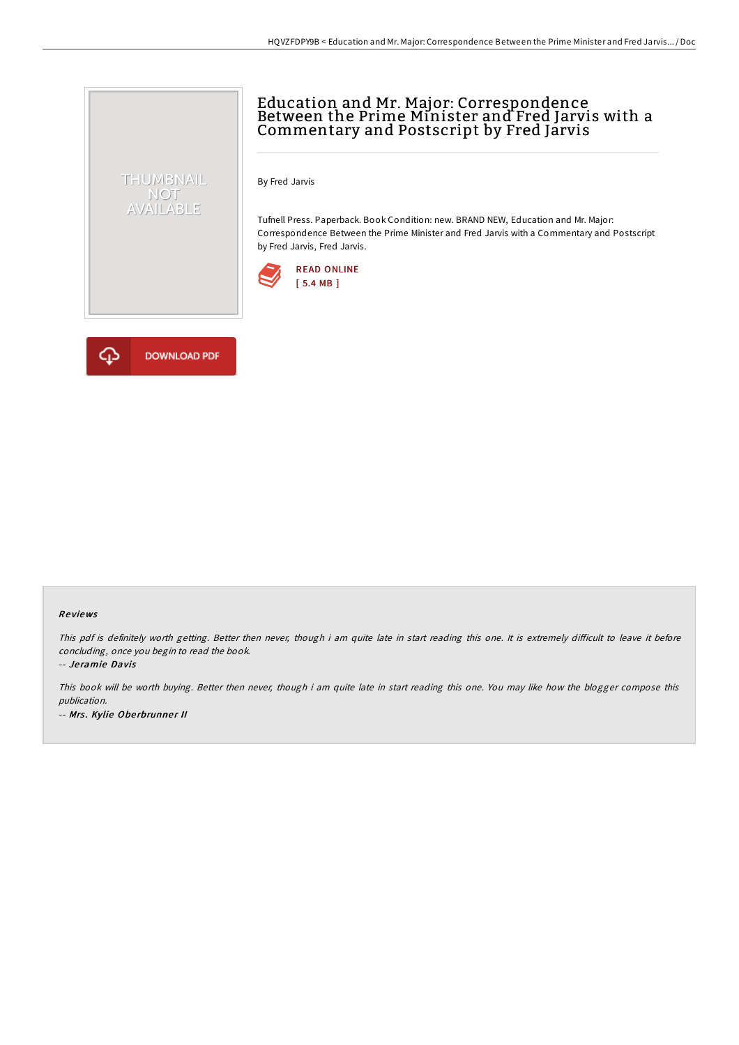# Education and Mr. Major: Correspondence Between the Prime Minister and Fred Jarvis with a Commentary and Postscript by Fred Jarvis

By Fred Jarvis

Tufnell Press. Paperback. Book Condition: new. BRAND NEW, Education and Mr. Major: Correspondence Between the Prime Minister and Fred Jarvis with a Commentary and Postscript by Fred Jarvis, Fred Jarvis.





THUMBNAIL NOT<br>AVAILABLE

#### Re views

This pdf is definitely worth getting. Better then never, though i am quite late in start reading this one. It is extremely difficult to leave it before concluding, once you begin to read the book.

-- Je ramie Davis

This book will be worth buying. Better then never, though i am quite late in start reading this one. You may like how the blogger compose this publication. -- Mrs. Kylie Oberbrunner II